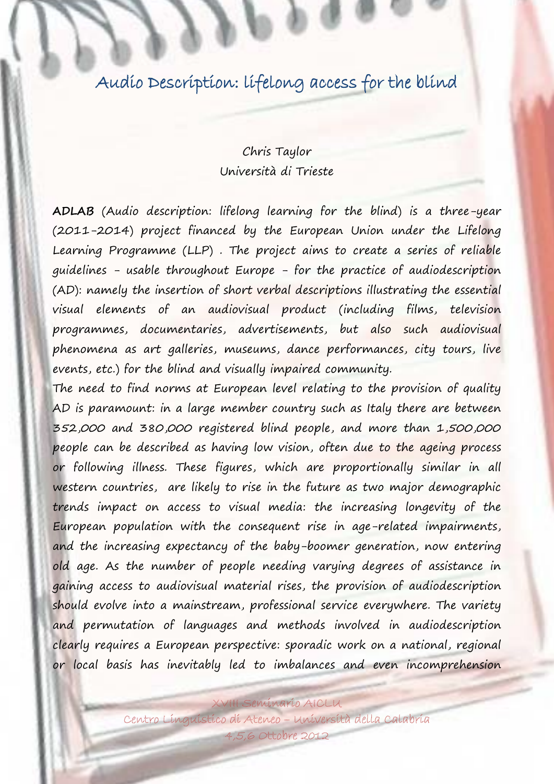## Audio Description: lifelong access for the blind

## Chris Taylor Università di Trieste

**ADLAB** (Audio description: lifelong learning for the blind) is a three-year (2011-2014) project financed by the European Union under the Lifelong Learning Programme (LLP) . The project aims to create a series of reliable guidelines - usable throughout Europe - for the practice of audiodescription (AD): namely the insertion of short verbal descriptions illustrating the essential visual elements of an audiovisual product (including films, television programmes, documentaries, advertisements, but also such audiovisual phenomena as art galleries, museums, dance performances, city tours, live events, etc.) for the blind and visually impaired community.

The need to find norms at European level relating to the provision of quality AD is paramount: in a large member country such as Italy there are between 352,000 and 380,000 registered blind people, and more than 1,500,000 people can be described as having low vision, often due to the ageing process or following illness. These figures, which are proportionally similar in all western countries, are likely to rise in the future as two major demographic trends impact on access to visual media: the increasing longevity of the European population with the consequent rise in age-related impairments, and the increasing expectancy of the baby-boomer generation, now entering old age. As the number of people needing varying degrees of assistance in gaining access to audiovisual material rises, the provision of audiodescription should evolve into a mainstream, professional service everywhere. The variety and permutation of languages and methods involved in audiodescription clearly requires a European perspective: sporadic work on a national, regional or local basis has inevitably led to imbalances and even incomprehension

Centro Linguistico di Ateneo – Università della Calabria 4,5,6 Ottobre 2012